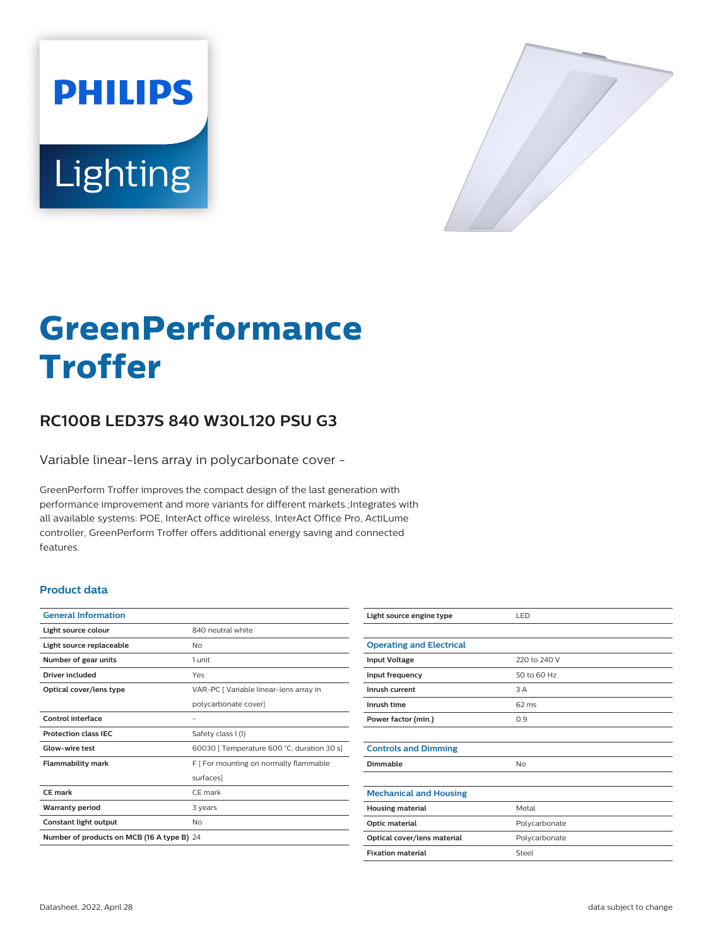



# **GreenPerformance Troffer**

# **RC100B LED37S 840 W30L120 PSU G3**

Variable linear-lens array in polycarbonate cover -

GreenPerform Troffer improves the compact design of the last generation with performance improvement and more variants for different markets.;Integrates with all available systems: POE, InterAct office wireless, InterAct Office Pro, ActiLume controller, GreenPerform Troffer offers additional energy saving and connected features.

## **Product data**

| <b>General Information</b>                 |                                            |
|--------------------------------------------|--------------------------------------------|
| Light source colour                        | 840 neutral white                          |
| Light source replaceable                   | Nο                                         |
| Number of gear units                       | 1 unit                                     |
| Driver included                            | Yes                                        |
| Optical cover/lens type                    | VAR-PC [ Variable linear-lens array in     |
|                                            | polycarbonate cover]                       |
| Control interface                          |                                            |
| <b>Protection class IEC</b>                | Safety class I (I)                         |
| Glow-wire test                             | 60030   Temperature 600 °C, duration 30 s] |
| <b>Flammability mark</b>                   | F [ For mounting on normally flammable     |
|                                            | surfaces]                                  |
| CF mark                                    | CF mark                                    |
| <b>Warranty period</b>                     | 3 years                                    |
| Constant light output                      | No                                         |
| Number of products on MCB (16 A type B) 24 |                                            |

| Light source engine type        | LED           |
|---------------------------------|---------------|
|                                 |               |
| <b>Operating and Electrical</b> |               |
| <b>Input Voltage</b>            | 220 to 240 V  |
| Input frequency                 | 50 to 60 Hz   |
| Inrush current                  | 3 A           |
| Inrush time                     | 62 ms         |
| Power factor (min.)             | 0.9           |
|                                 |               |
| <b>Controls and Dimming</b>     |               |
| Dimmable                        | No            |
|                                 |               |
| <b>Mechanical and Housing</b>   |               |
| <b>Housing material</b>         | Metal         |
| Optic material                  | Polycarbonate |
| Optical cover/lens material     | Polycarbonate |
| <b>Fixation material</b>        | Steel         |
|                                 |               |